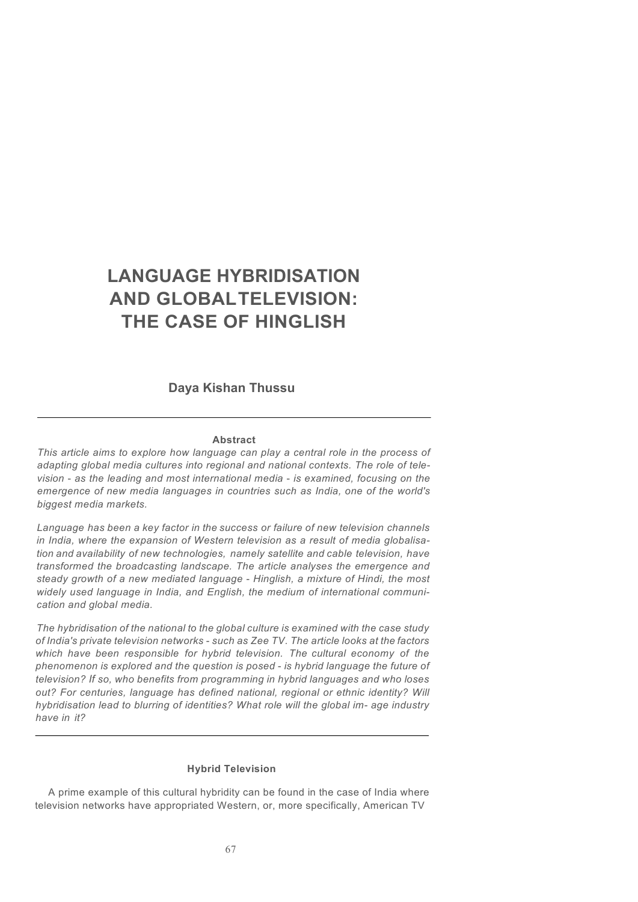**Daya Kishan Thussu**

#### **Abstract**

*This article aims to explore how language can play a central role in the process of adapting global media cultures into regional and national contexts. The role of television* - *as the leading and most international media* - *is examined, focusing on the emergence of new media languages in countries such as India, one of the world's biggest media markets.*

*Language has been a key factor in the success or failure of new television channels in India, where the expansion of Western television as a result of media globalisation and availability of new technologies, namely satellite and cable television, have transformed the broadcasting landscape. The article analyses the emergence and steady growth of a new mediated language* - *Hinglish, a mixture of Hindi, the most widely used language in India, and English, the medium of international communication and global media.*

*The hybridisation of the national to the global culture is examined with the case study of India's private television networks* - *such as Zee TV. The article looks at the factors which have been responsible for hybrid television. The cultural economy of the phenomenon is explored and the question is posed* - *is hybrid language the future of television? If so, who benefits from programming in hybrid languages and who loses out? For centuries, language has defined national, regional or ethnic identity? Will hybridisation lead to blurring of identities? What role will the global im- age industry have in it?*

## **Hybrid Television**

A prime example of this cultural hybridity can be found in the case of India where television networks have appropriated Western, or, more specifically, American TV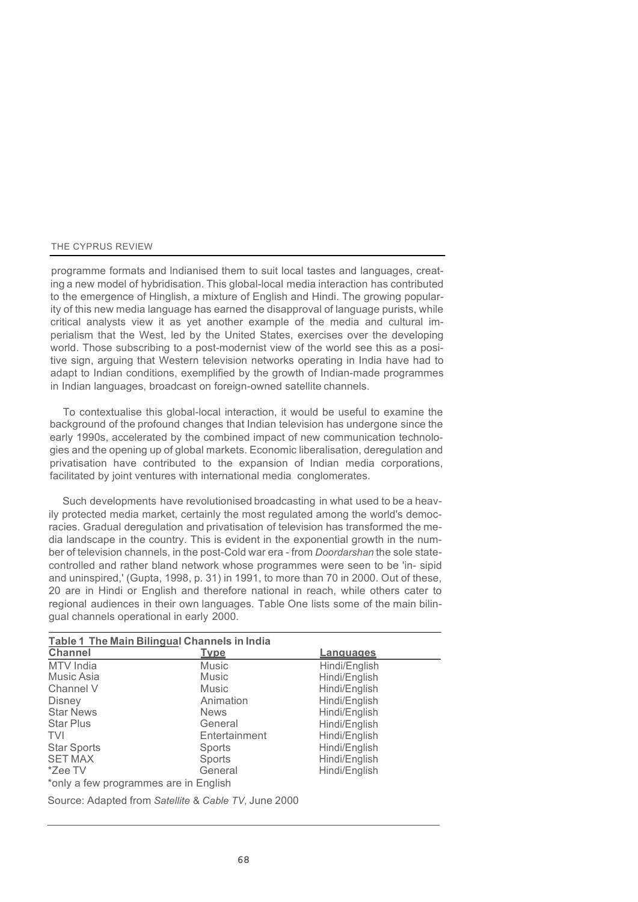programme formats and lndianised them to suit local tastes and languages, creating a new model of hybridisation. This global-local media interaction has contributed to the emergence of Hinglish, a mixture of English and Hindi. The growing popularity of this new media language has earned the disapproval of language purists, while critical analysts view it as yet another example of the media and cultural imperialism that the West, led by the United States, exercises over the developing world. Those subscribing to a post-modernist view of the world see this as a positive sign, arguing that Western television networks operating in India have had to adapt to Indian conditions, exemplified by the growth of Indian-made programmes in Indian languages, broadcast on foreign-owned satellite channels.

To contextualise this global-local interaction, it would be useful to examine the background of the profound changes that Indian television has undergone since the early 1990s, accelerated by the combined impact of new communication technologies and the opening up of global markets. Economic liberalisation, deregulation and privatisation have contributed to the expansion of Indian media corporations, facilitated by joint ventures with international media conglomerates.

Such developments have revolutionised broadcasting in what used to be a heavily protected media market, certainly the most regulated among the world's democracies. Gradual deregulation and privatisation of television has transformed the media landscape in the country. This is evident in the exponential growth in the number of television channels, in the post-Cold war era - from *Doordarshan* the sole statecontrolled and rather bland network whose programmes were seen to be 'in- sipid and uninspired,' (Gupta, 1998, p. 31) in 1991, to more than 70 in 2000. Out of these, 20 are in Hindi or English and therefore national in reach, while others cater to regional audiences in their own languages. Table One lists some of the main bilingual channels operational in early 2000.

| Table 1 The Main Bilingual Channels in India |               |                  |
|----------------------------------------------|---------------|------------------|
| <b>Channel</b>                               | <u>Tvpe</u>   | <u>Languages</u> |
| MTV India                                    | <b>Music</b>  | Hindi/English    |
| Music Asia                                   | Music         | Hindi/English    |
| Channel V                                    | Music         | Hindi/English    |
| Disney                                       | Animation     | Hindi/English    |
| <b>Star News</b>                             | <b>News</b>   | Hindi/English    |
| <b>Star Plus</b>                             | General       | Hindi/English    |
| <b>TVI</b>                                   | Entertainment | Hindi/English    |
| <b>Star Sports</b>                           | Sports        | Hindi/English    |
| <b>SET MAX</b>                               | Sports        | Hindi/English    |
| *Zee TV                                      | General       | Hindi/English    |
| *only a few programmes are in English        |               |                  |

Source: Adapted from *Satellite* & *Cable TV,* June 2000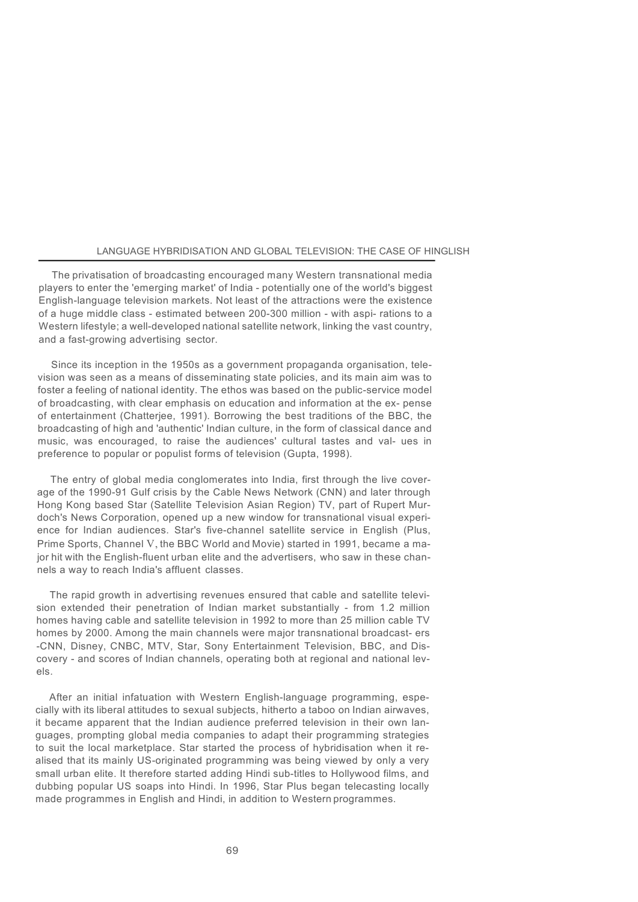The privatisation of broadcasting encouraged many Western transnational media players to enter the 'emerging market' of India - potentially one of the world's biggest English-language television markets. Not least of the attractions were the existence of a huge middle class - estimated between 200-300 million - with aspi- rations to a Western lifestyle; a well-developed national satellite network, linking the vast country, and a fast-growing advertising sector.

Since its inception in the 1950s as a government propaganda organisation, television was seen as a means of disseminating state policies, and its main aim was to foster a feeling of national identity. The ethos was based on the public-service model of broadcasting, with clear emphasis on education and information at the ex- pense of entertainment (Chatterjee, 1991). Borrowing the best traditions of the BBC, the broadcasting of high and 'authentic' Indian culture, in the form of classical dance and music, was encouraged, to raise the audiences' cultural tastes and val- ues in preference to popular or populist forms of television (Gupta, 1998).

The entry of global media conglomerates into India, first through the live coverage of the 1990-91 Gulf crisis by the Cable News Network (CNN) and later through Hong Kong based Star (Satellite Television Asian Region) TV, part of Rupert Murdoch's News Corporation, opened up a new window for transnational visual experience for Indian audiences. Star's five-channel satellite service in English (Plus, Prime Sports, Channel V, the BBC World and Movie) started in 1991, became a major hit with the English-fluent urban elite and the advertisers, who saw in these channels a way to reach India's affluent classes.

The rapid growth in advertising revenues ensured that cable and satellite television extended their penetration of Indian market substantially - from 1.2 million homes having cable and satellite television in 1992 to more than 25 million cable TV homes by 2000. Among the main channels were major transnational broadcast- ers -CNN, Disney, CNBC, MTV, Star, Sony Entertainment Television, BBC, and Discovery - and scores of Indian channels, operating both at regional and national levels.

After an initial infatuation with Western English-language programming, especially with its liberal attitudes to sexual subjects, hitherto a taboo on Indian airwaves, it became apparent that the Indian audience preferred television in their own languages, prompting global media companies to adapt their programming strategies to suit the local marketplace. Star started the process of hybridisation when it realised that its mainly US-originated programming was being viewed by only a very small urban elite. It therefore started adding Hindi sub-titles to Hollywood films, and dubbing popular US soaps into Hindi. In 1996, Star Plus began telecasting locally made programmes in English and Hindi, in addition to Western programmes.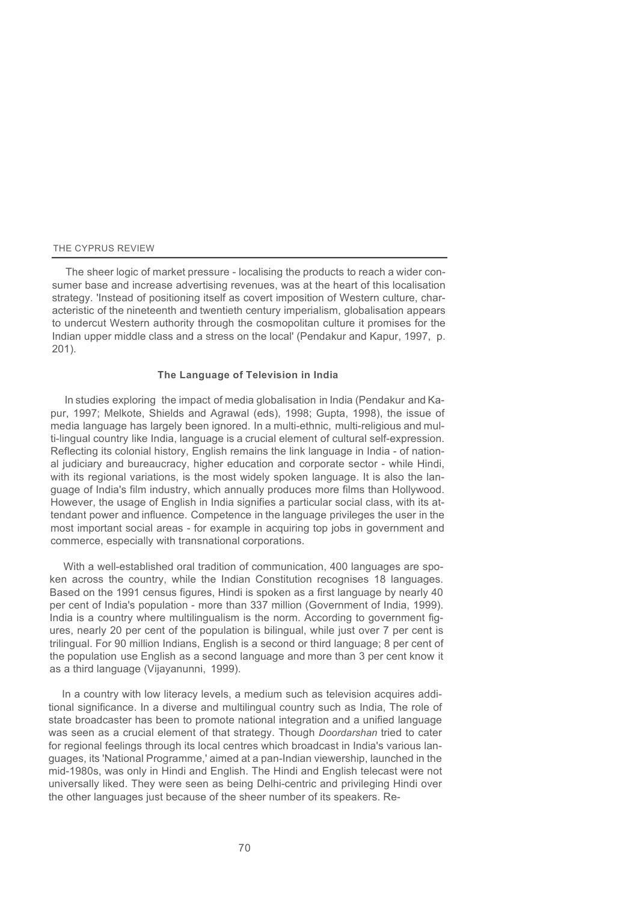The sheer logic of market pressure - localising the products to reach a wider consumer base and increase advertising revenues, was at the heart of this localisation strategy. 'Instead of positioning itself as covert imposition of Western culture, characteristic of the nineteenth and twentieth century imperialism, globalisation appears to undercut Western authority through the cosmopolitan culture it promises for the Indian upper middle class and a stress on the local' (Pendakur and Kapur, 1997, p. 201).

## **The Language of Television in India**

In studies exploring the impact of media globalisation in India (Pendakur and Kapur, 1997; Melkote, Shields and Agrawal (eds), 1998; Gupta, 1998), the issue of media language has largely been ignored. In a multi-ethnic, multi-religious and multi-lingual country like India, language is a crucial element of cultural self-expression. Reflecting its colonial history, English remains the link language in India - of national judiciary and bureaucracy, higher education and corporate sector - while Hindi, with its regional variations, is the most widely spoken language. It is also the language of India's film industry, which annually produces more films than Hollywood. However, the usage of English in India signifies a particular social class, with its attendant power and influence. Competence in the language privileges the user in the most important social areas - for example in acquiring top jobs in government and commerce, especially with transnational corporations.

With a well-established oral tradition of communication, 400 languages are spoken across the country, while the Indian Constitution recognises 18 languages. Based on the 1991 census figures, Hindi is spoken as a first language by nearly 40 per cent of India's population - more than 337 million (Government of India, 1999). India is a country where multilingualism is the norm. According to government figures, nearly 20 per cent of the population is bilingual, while just over 7 per cent is trilingual. For 90 million Indians, English is a second or third language; 8 per cent of the population use English as a second language and more than 3 per cent know it as a third language (Vijayanunni, 1999).

In a country with low literacy levels, a medium such as television acquires additional significance. In a diverse and multilingual country such as India, The role of state broadcaster has been to promote national integration and a unified language was seen as a crucial element of that strategy. Though *Doordarshan* tried to cater for regional feelings through its local centres which broadcast in India's various languages, its 'National Programme,' aimed at a pan-Indian viewership, launched in the mid-1980s, was only in Hindi and English. The Hindi and English telecast were not universally liked. They were seen as being Delhi-centric and privileging Hindi over the other languages just because of the sheer number of its speakers. Re-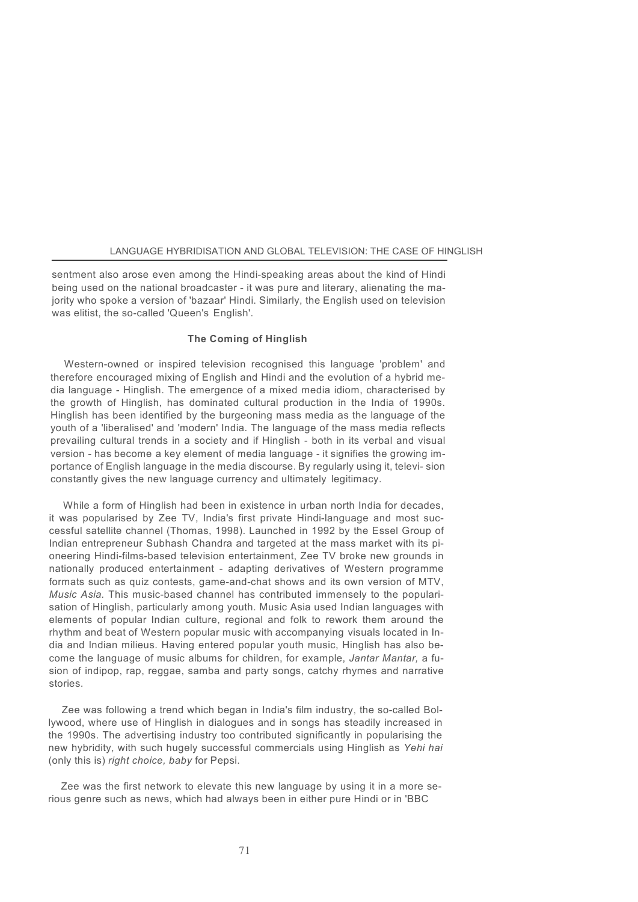sentment also arose even among the Hindi-speaking areas about the kind of Hindi being used on the national broadcaster - it was pure and literary, alienating the majority who spoke a version of 'bazaar' Hindi. Similarly, the English used on television was elitist, the so-called 'Queen's English'.

#### **The Coming of Hinglish**

Western-owned or inspired television recognised this language 'problem' and therefore encouraged mixing of English and Hindi and the evolution of a hybrid media language - Hinglish. The emergence of a mixed media idiom, characterised by the growth of Hinglish, has dominated cultural production in the India of 1990s. Hinglish has been identified by the burgeoning mass media as the language of the youth of a 'liberalised' and 'modern' India. The language of the mass media reflects prevailing cultural trends in a society and if Hinglish - both in its verbal and visual version - has become a key element of media language - it signifies the growing importance of English language in the media discourse. By regularly using it, televi- sion constantly gives the new language currency and ultimately legitimacy.

While a form of Hinglish had been in existence in urban north India for decades, it was popularised by Zee TV, India's first private Hindi-language and most successful satellite channel (Thomas, 1998). Launched in 1992 by the Essel Group of Indian entrepreneur Subhash Chandra and targeted at the mass market with its pioneering Hindi-films-based television entertainment, Zee TV broke new grounds in nationally produced entertainment - adapting derivatives of Western programme formats such as quiz contests, game-and-chat shows and its own version of MTV, *Music Asia.* This music-based channel has contributed immensely to the popularisation of Hinglish, particularly among youth. Music Asia used Indian languages with elements of popular Indian culture, regional and folk to rework them around the rhythm and beat of Western popular music with accompanying visuals located in India and Indian milieus. Having entered popular youth music, Hinglish has also become the language of music albums for children, for example, *Jantar Mantar,* a fusion of indipop, rap, reggae, samba and party songs, catchy rhymes and narrative stories.

Zee was following a trend which began in India's film industry, the so-called Bollywood, where use of Hinglish in dialogues and in songs has steadily increased in the 1990s. The advertising industry too contributed significantly in popularising the new hybridity, with such hugely successful commercials using Hinglish as *Yehi hai*  (only this is) *right choice, baby* for Pepsi.

Zee was the first network to elevate this new language by using it in a more serious genre such as news, which had always been in either pure Hindi or in 'BBC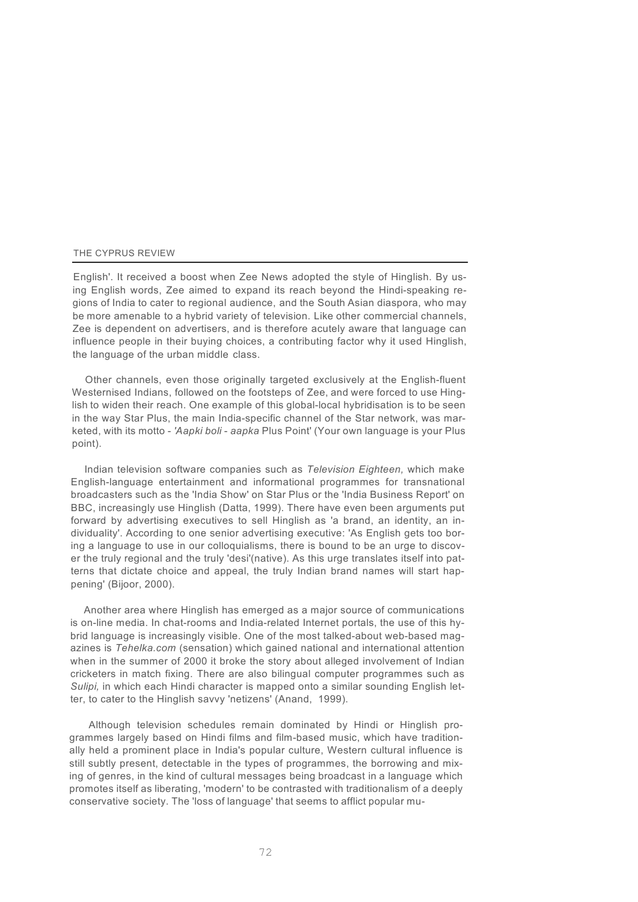English'. It received a boost when Zee News adopted the style of Hinglish. By using English words, Zee aimed to expand its reach beyond the Hindi-speaking regions of India to cater to regional audience, and the South Asian diaspora, who may be more amenable to a hybrid variety of television. Like other commercial channels, Zee is dependent on advertisers, and is therefore acutely aware that language can influence people in their buying choices, a contributing factor why it used Hinglish, the language of the urban middle class.

Other channels, even those originally targeted exclusively at the English-fluent Westernised Indians, followed on the footsteps of Zee, and were forced to use Hinglish to widen their reach. One example of this global-local hybridisation is to be seen in the way Star Plus, the main India-specific channel of the Star network, was marketed, with its motto - *'Aapki boli* - *aapka* Plus Point' (Your own language is your Plus point).

Indian television software companies such as *Television Eighteen,* which make English-language entertainment and informational programmes for transnational broadcasters such as the 'India Show' on Star Plus or the 'India Business Report' on BBC, increasingly use Hinglish (Datta, 1999). There have even been arguments put forward by advertising executives to sell Hinglish as 'a brand, an identity, an individuality'. According to one senior advertising executive: 'As English gets too boring a language to use in our colloquialisms, there is bound to be an urge to discover the truly regional and the truly 'desi'(native). As this urge translates itself into patterns that dictate choice and appeal, the truly Indian brand names will start happening' (Bijoor, 2000).

Another area where Hinglish has emerged as a major source of communications is on-line media. In chat-rooms and India-related Internet portals, the use of this hybrid language is increasingly visible. One of the most talked-about web-based magazines is *Tehelka.com* (sensation) which gained national and international attention when in the summer of 2000 it broke the story about alleged involvement of Indian cricketers in match fixing. There are also bilingual computer programmes such as *Sulipi,* in which each Hindi character is mapped onto a similar sounding English letter, to cater to the Hinglish savvy 'netizens' (Anand, 1999).

Although television schedules remain dominated by Hindi or Hinglish programmes largely based on Hindi films and film-based music, which have traditionally held a prominent place in India's popular culture, Western cultural influence is still subtly present, detectable in the types of programmes, the borrowing and mixing of genres, in the kind of cultural messages being broadcast in a language which promotes itself as liberating, 'modern' to be contrasted with traditionalism of a deeply conservative society. The 'loss of language' that seems to afflict popular mu-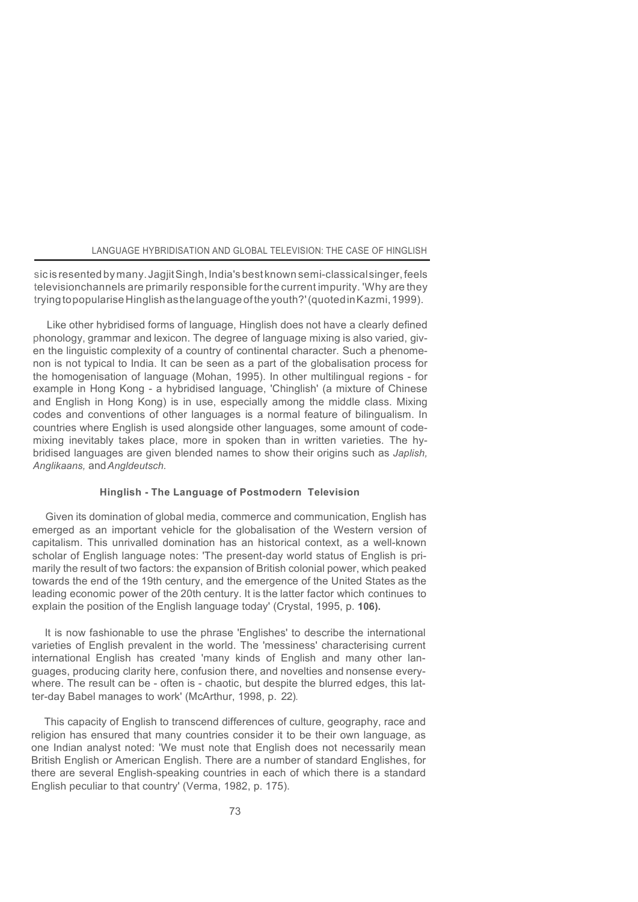sic is resented by many. Jagjit Singh, India's best known semi-classical singer, feels televisionchannels are primarily responsible forthe current impurity. 'Why are they tryingtopopularise Hinglish asthelanguage ofthe youth?'(quotedinKazmi,1999).

Like other hybridised forms of language, Hinglish does not have a clearly defined phonology, grammar and lexicon. The degree of language mixing is also varied, given the linguistic complexity of a country of continental character. Such a phenomenon is not typical to India. It can be seen as a part of the globalisation process for the homogenisation of language (Mohan, 1995). In other multilingual regions - for example in Hong Kong - a hybridised language, 'Chinglish' (a mixture of Chinese and English in Hong Kong) is in use, especially among the middle class. Mixing codes and conventions of other languages is a normal feature of bilingualism. In countries where English is used alongside other languages, some amount of codemixing inevitably takes place, more in spoken than in written varieties. The hybridised languages are given blended names to show their origins such as *Japlish, Anglikaans,* and*Angldeutsch.*

## **Hinglish - The Language of Postmodern Television**

Given its domination of global media, commerce and communication, English has emerged as an important vehicle for the globalisation of the Western version of capitalism. This unrivalled domination has an historical context, as a well-known scholar of English language notes: 'The present-day world status of English is primarily the result of two factors: the expansion of British colonial power, which peaked towards the end of the 19th century, and the emergence of the United States as the leading economic power of the 20th century. It is the latter factor which continues to explain the position of the English language today' (Crystal, 1995, p. **106).**

It is now fashionable to use the phrase 'Englishes' to describe the international varieties of English prevalent in the world. The 'messiness' characterising current international English has created 'many kinds of English and many other languages, producing clarity here, confusion there, and novelties and nonsense everywhere. The result can be - often is - chaotic, but despite the blurred edges, this latter-day Babel manages to work' (McArthur, 1998, p. 22).

This capacity of English to transcend differences of culture, geography, race and religion has ensured that many countries consider it to be their own language, as one Indian analyst noted: 'We must note that English does not necessarily mean British English or American English. There are a number of standard Englishes, for there are several English-speaking countries in each of which there is a standard English peculiar to that country' (Verma, 1982, p. 175).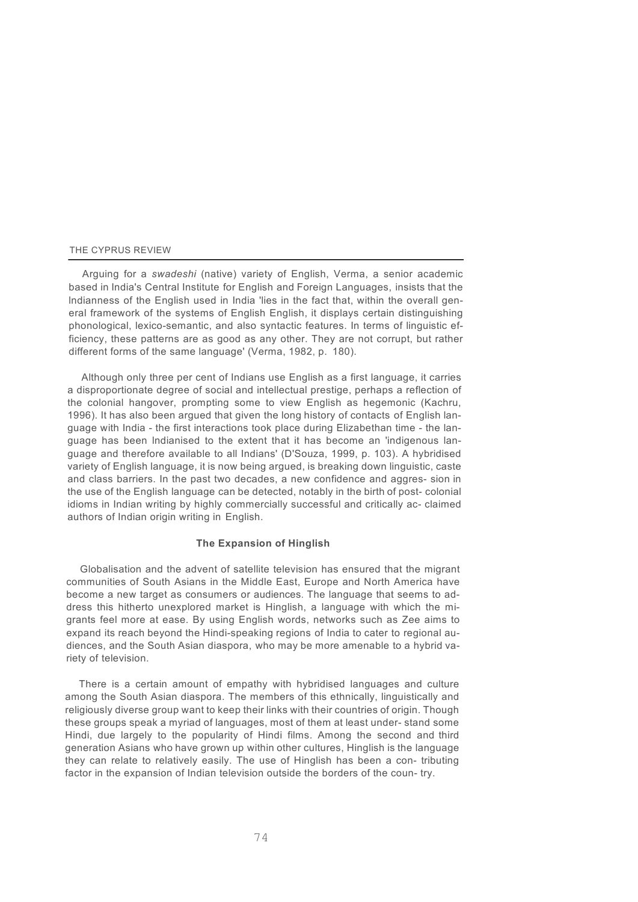Arguing for a *swadeshi* (native) variety of English, Verma, a senior academic based in India's Central Institute for English and Foreign Languages, insists that the lndianness of the English used in India 'lies in the fact that, within the overall general framework of the systems of English English, it displays certain distinguishing phonological, lexico-semantic, and also syntactic features. In terms of linguistic efficiency, these patterns are as good as any other. They are not corrupt, but rather different forms of the same language' (Verma, 1982, p. 180).

Although only three per cent of Indians use English as a first language, it carries a disproportionate degree of social and intellectual prestige, perhaps a reflection of the colonial hangover, prompting some to view English as hegemonic (Kachru, 1996). It has also been argued that given the long history of contacts of English language with India - the first interactions took place during Elizabethan time - the language has been lndianised to the extent that it has become an 'indigenous language and therefore available to all Indians' (D'Souza, 1999, p. 103). A hybridised variety of English language, it is now being argued, is breaking down linguistic, caste and class barriers. In the past two decades, a new confidence and aggres- sion in the use of the English language can be detected, notably in the birth of post- colonial idioms in Indian writing by highly commercially successful and critically ac- claimed authors of Indian origin writing in English.

## **The Expansion of Hinglish**

Globalisation and the advent of satellite television has ensured that the migrant communities of South Asians in the Middle East, Europe and North America have become a new target as consumers or audiences. The language that seems to address this hitherto unexplored market is Hinglish, a language with which the migrants feel more at ease. By using English words, networks such as Zee aims to expand its reach beyond the Hindi-speaking regions of India to cater to regional audiences, and the South Asian diaspora, who may be more amenable to a hybrid variety of television.

There is a certain amount of empathy with hybridised languages and culture among the South Asian diaspora. The members of this ethnically, linguistically and religiously diverse group want to keep their links with their countries of origin. Though these groups speak a myriad of languages, most of them at least under- stand some Hindi, due largely to the popularity of Hindi films. Among the second and third generation Asians who have grown up within other cultures, Hinglish is the language they can relate to relatively easily. The use of Hinglish has been a con- tributing factor in the expansion of Indian television outside the borders of the coun- try.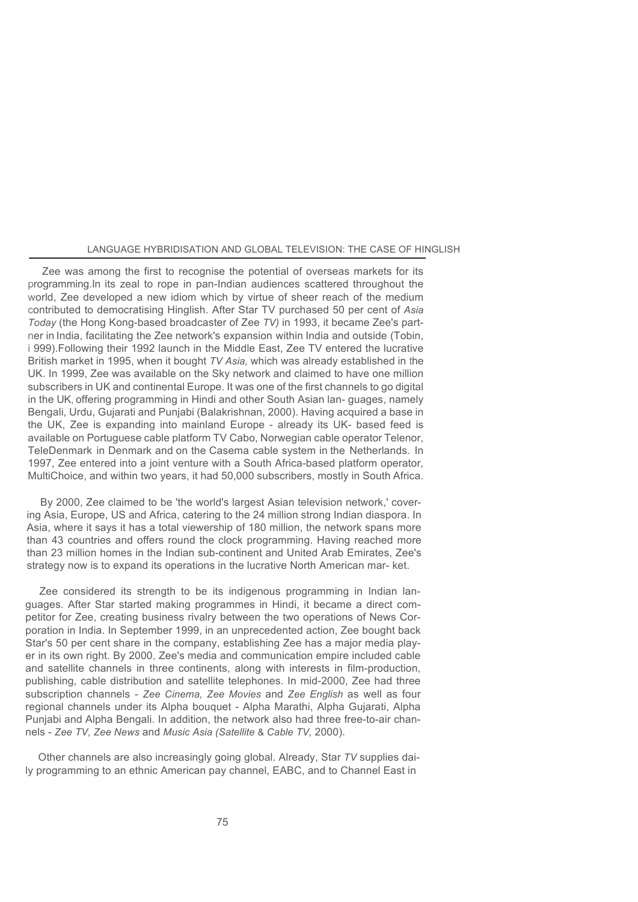Zee was among the first to recognise the potential of overseas markets for its programming.In its zeal to rope in pan-Indian audiences scattered throughout the world, Zee developed a new idiom which by virtue of sheer reach of the medium contributed to democratising Hinglish. After Star TV purchased 50 per cent of *Asia Today* (the Hong Kong-based broadcaster of Zee *TV)* in 1993, it became Zee's partner in India, facilitating the Zee network's expansion within India and outside (Tobin, i 999).Following their 1992 launch in the Middle East, Zee TV entered the lucrative British market in 1995, when it bought *TV Asia,* which was already established in the UK. In 1999, Zee was available on the Sky network and claimed to have one million subscribers in UK and continental Europe. It was one of the first channels to go digital in the UK, offering programming in Hindi and other South Asian lan- guages, namely Bengali, Urdu, Gujarati and Punjabi (Balakrishnan, 2000). Having acquired a base in the UK, Zee is expanding into mainland Europe - already its UK- based feed is available on Portuguese cable platform TV Cabo, Norwegian cable operator Telenor, TeleDenmark in Denmark and on the Casema cable system in the Netherlands. In 1997, Zee entered into a joint venture with a South Africa-based platform operator, MultiChoice, and within two years, it had 50,000 subscribers, mostly in South Africa.

By 2000, Zee claimed to be 'the world's largest Asian television network,' covering Asia, Europe, US and Africa, catering to the 24 million strong Indian diaspora. In Asia, where it says it has a total viewership of 180 million, the network spans more than 43 countries and offers round the clock programming. Having reached more than 23 million homes in the Indian sub-continent and United Arab Emirates, Zee's strategy now is to expand its operations in the lucrative North American mar- ket.

Zee considered its strength to be its indigenous programming in Indian languages. After Star started making programmes in Hindi, it became a direct competitor for Zee, creating business rivalry between the two operations of News Corporation in India. In September 1999, in an unprecedented action, Zee bought back Star's 50 per cent share in the company, establishing Zee has a major media player in its own right. By 2000, Zee's media and communication empire included cable and satellite channels in three continents, along with interests in film-production, publishing, cable distribution and satellite telephones. In mid-2000, Zee had three subscription channels - *Zee Cinema, Zee Movies* and *Zee English* as well as four regional channels under its Alpha bouquet - Alpha Marathi, Alpha Gujarati, Alpha Punjabi and Alpha Bengali. In addition, the network also had three free-to-air channels - *Zee TV, Zee News* and *Music Asia (Satellite* & *Cable TV,* 2000).

Other channels are also increasingly going global. Already, Star *TV* supplies daily programming to an ethnic American pay channel, EABC, and to Channel East in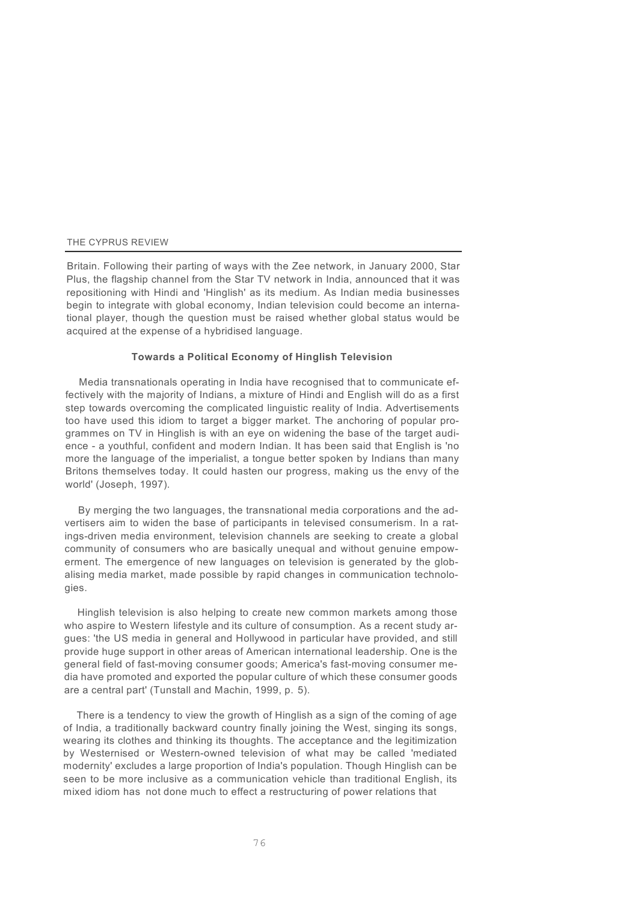Britain. Following their parting of ways with the Zee network, in January 2000, Star Plus, the flagship channel from the Star TV network in India, announced that it was repositioning with Hindi and 'Hinglish' as its medium. As Indian media businesses begin to integrate with global economy, Indian television could become an international player, though the question must be raised whether global status would be acquired at the expense of a hybridised language.

#### **Towards a Political Economy of Hinglish Television**

Media transnationals operating in India have recognised that to communicate effectively with the majority of Indians, a mixture of Hindi and English will do as a first step towards overcoming the complicated linguistic reality of India. Advertisements too have used this idiom to target a bigger market. The anchoring of popular programmes on TV in Hinglish is with an eye on widening the base of the target audience - a youthful, confident and modern Indian. It has been said that English is 'no more the language of the imperialist, a tongue better spoken by Indians than many Britons themselves today. It could hasten our progress, making us the envy of the world' (Joseph, 1997).

By merging the two languages, the transnational media corporations and the advertisers aim to widen the base of participants in televised consumerism. In a ratings-driven media environment, television channels are seeking to create a global community of consumers who are basically unequal and without genuine empowerment. The emergence of new languages on television is generated by the globalising media market, made possible by rapid changes in communication technologies.

Hinglish television is also helping to create new common markets among those who aspire to Western lifestyle and its culture of consumption. As a recent study argues: 'the US media in general and Hollywood in particular have provided, and still provide huge support in other areas of American international leadership. One is the general field of fast-moving consumer goods; America's fast-moving consumer media have promoted and exported the popular culture of which these consumer goods are a central part' (Tunstall and Machin, 1999, p. 5).

There is a tendency to view the growth of Hinglish as a sign of the coming of age of India, a traditionally backward country finally joining the West, singing its songs, wearing its clothes and thinking its thoughts. The acceptance and the legitimization by Westernised or Western-owned television of what may be called 'mediated modernity' excludes a large proportion of India's population. Though Hinglish can be seen to be more inclusive as a communication vehicle than traditional English, its mixed idiom has not done much to effect a restructuring of power relations that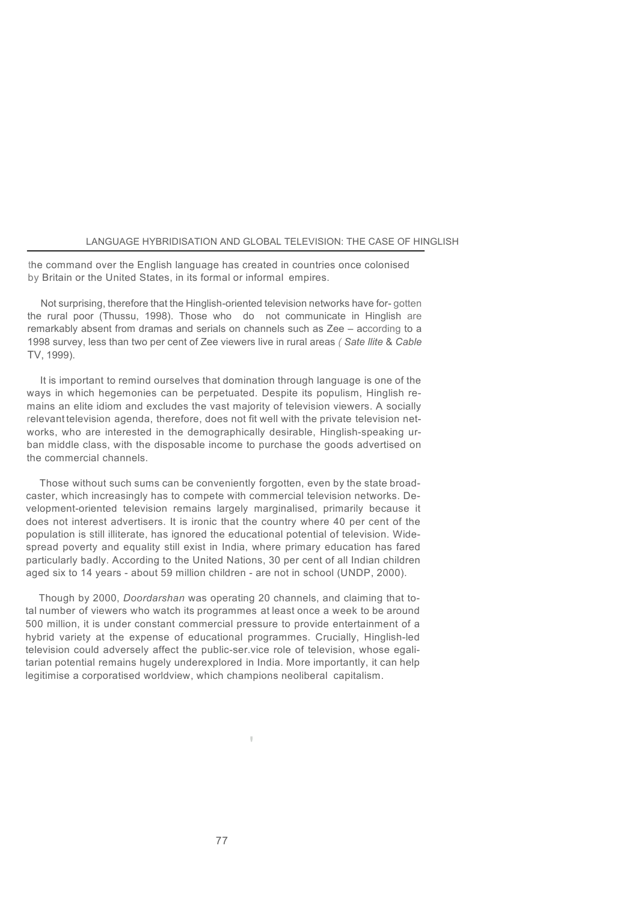the command over the English language has created in countries once colonised by Britain or the United States, in its formal or informal empires.

Not surprising, therefore that the Hinglish-oriented television networks have for- gotten the rural poor (Thussu, 1998). Those who do not communicate in Hinglish are remarkably absent from dramas and serials on channels such as Zee – according to a 1998 survey, less than two per cent of Zee viewers live in rural areas *( Sate llite* & *Cable*  TV, 1999).

It is important to remind ourselves that domination through language is one of the ways in which hegemonies can be perpetuated. Despite its populism, Hinglish remains an elite idiom and excludes the vast majority of television viewers. A socially relevant television agenda, therefore, does not fit well with the private television networks, who are interested in the demographically desirable, Hinglish-speaking urban middle class, with the disposable income to purchase the goods advertised on the commercial channels.

Those without such sums can be conveniently forgotten, even by the state broadcaster, which increasingly has to compete with commercial television networks. Development-oriented television remains largely marginalised, primarily because it does not interest advertisers. It is ironic that the country where 40 per cent of the population is still illiterate, has ignored the educational potential of television. Widespread poverty and equality still exist in India, where primary education has fared particularly badly. According to the United Nations, 30 per cent of all Indian children aged six to 14 years - about 59 million children - are not in school (UNDP, 2000).

Though by 2000, *Doordarshan* was operating 20 channels, and claiming that total number of viewers who watch its programmes at least once a week to be around 500 million, it is under constant commercial pressure to provide entertainment of a hybrid variety at the expense of educational programmes. Crucially, Hinglish-led television could adversely affect the public-ser.vice role of television, whose egalitarian potential remains hugely underexplored in India. More importantly, it can help legitimise a corporatised worldview, which champions neoliberal capitalism.

'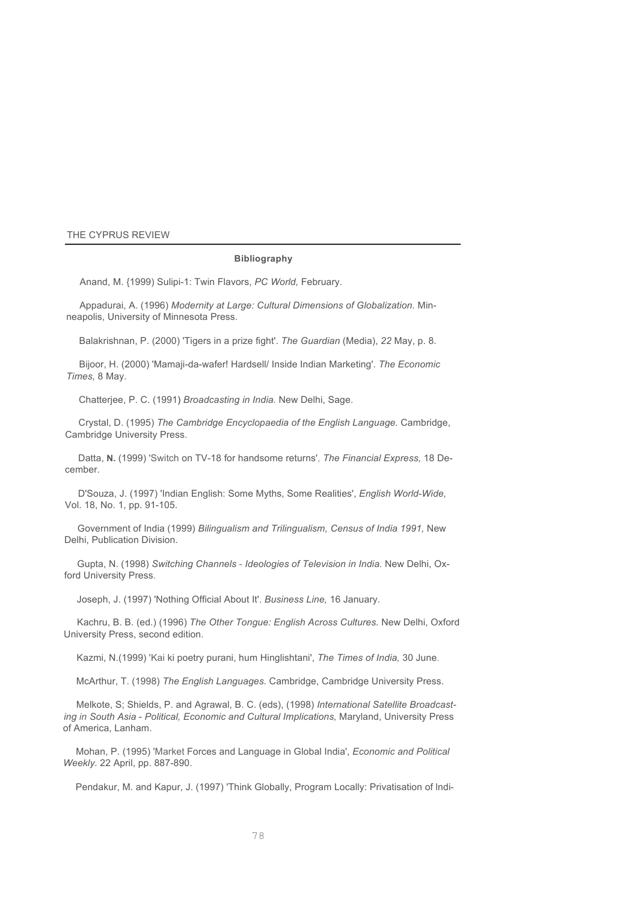#### **Bibliography**

Anand, M. {1999) Sulipi-1: Twin Flavors, *PC World,* February.

Appadurai, A. (1996) *Modernity at Large: Cultural Dimensions of Globalization.* Minneapolis, University of Minnesota Press.

Balakrishnan, P. (2000) 'Tigers in a prize fight'. *The Guardian* (Media), *22* May, p. 8.

Bijoor, H. (2000) 'Mamaji-da-wafer! Hardsell/ Inside Indian Marketing'. *The Economic Times,* 8 May.

Chatterjee, P. C. (1991) *Broadcasting in India.* New Delhi, Sage.

Crystal, D. (1995) *The Cambridge Encyclopaedia of the English Language.* Cambridge, Cambridge University Press.

Datta, **N.** (1999) 'Switch on TV-18 for handsome returns', *The Financial Express,* 18 December.

D'Souza, J. (1997) 'Indian English: Some Myths, Some Realities', *English World-Wide,* Vol. 18, No. 1, pp. 91-105.

Government of India (1999) *Bilingualism and Trilingualism, Census of India 1991,* New Delhi, Publication Division.

Gupta, N. (1998) *Switching Channels* - *Ideologies of Television in India.* New Delhi, Oxford University Press.

Joseph, J. (1997) 'Nothing Official About It'. *Business Line,* 16 January.

Kachru, B. B. (ed.) (1996) *The Other Tongue: English Across Cultures.* New Delhi, Oxford University Press, second edition.

Kazmi, N.(1999) 'Kai ki poetry purani, hum Hinglishtani', *The Times of India,* 30 June.

McArthur, T. (1998) *The English Languages.* Cambridge, Cambridge University Press.

Melkote, S; Shields, P. and Agrawal, B. C. (eds), (1998) *International Satellite Broadcasting in South Asia* - *Political, Economic and Cultural Implications,* Maryland, University Press of America, Lanham.

Mohan, P. (1995) 'Market Forces and Language in Global India', *Economic and Political Weekly.* 22 April, pp. 887-890.

Pendakur, M. and Kapur, J. (1997) 'Think Globally, Program Locally: Privatisation of lndi-